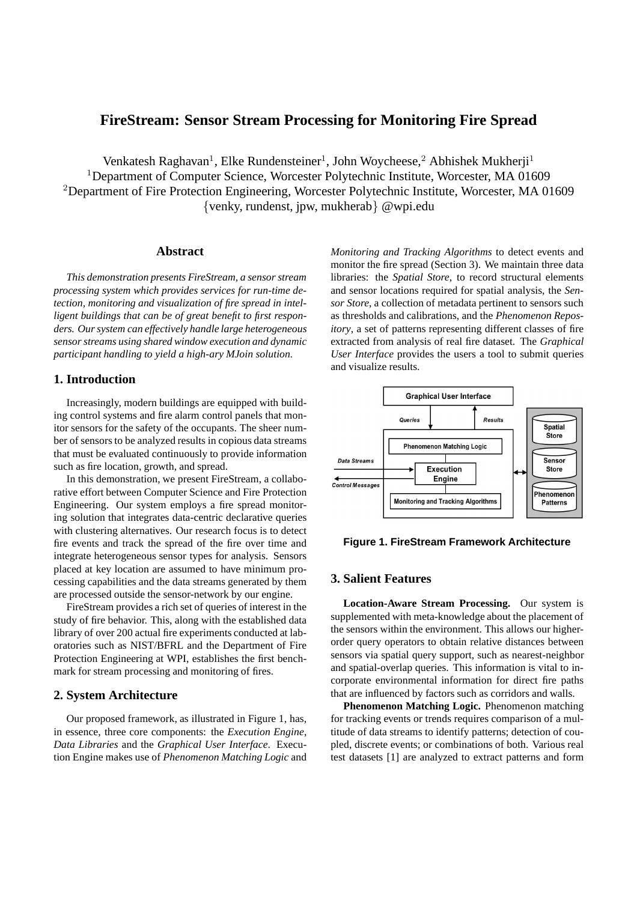# **FireStream: Sensor Stream Processing for Monitoring Fire Spread**

Venkatesh Raghavan<sup>1</sup>, Elke Rundensteiner<sup>1</sup>, John Woycheese,<sup>2</sup> Abhishek Mukherji<sup>1</sup> <sup>1</sup>Department of Computer Science, Worcester Polytechnic Institute, Worcester, MA 01609 <sup>2</sup>Department of Fire Protection Engineering, Worcester Polytechnic Institute, Worcester, MA 01609 {venky, rundenst, jpw, mukherab} @wpi.edu

#### **Abstract**

*This demonstration presents FireStream, a sensor stream processing system which provides services for run-time detection, monitoring and visualization of fire spread in intelligent buildings that can be of great benefit to first responders. Our system can effectively handle large heterogeneous sensor streams using shared window execution and dynamic participant handling to yield a high-ary MJoin solution.*

## **1. Introduction**

Increasingly, modern buildings are equipped with building control systems and fire alarm control panels that monitor sensors for the safety of the occupants. The sheer number of sensors to be analyzed results in copious data streams that must be evaluated continuously to provide information such as fire location, growth, and spread.

In this demonstration, we present FireStream, a collaborative effort between Computer Science and Fire Protection Engineering. Our system employs a fire spread monitoring solution that integrates data-centric declarative queries with clustering alternatives. Our research focus is to detect fire events and track the spread of the fire over time and integrate heterogeneous sensor types for analysis. Sensors placed at key location are assumed to have minimum processing capabilities and the data streams generated by them are processed outside the sensor-network by our engine.

FireStream provides a rich set of queries of interest in the study of fire behavior. This, along with the established data library of over 200 actual fire experiments conducted at laboratories such as NIST/BFRL and the Department of Fire Protection Engineering at WPI, establishes the first benchmark for stream processing and monitoring of fires.

#### **2. System Architecture**

Our proposed framework, as illustrated in Figure 1, has, in essence, three core components: the *Execution Engine*, *Data Libraries* and the *Graphical User Interface*. Execution Engine makes use of *Phenomenon Matching Logic* and *Monitoring and Tracking Algorithms* to detect events and monitor the fire spread (Section 3). We maintain three data libraries: the *Spatial Store*, to record structural elements and sensor locations required for spatial analysis, the *Sensor Store*, a collection of metadata pertinent to sensors such as thresholds and calibrations, and the *Phenomenon Repository*, a set of patterns representing different classes of fire extracted from analysis of real fire dataset. The *Graphical User Interface* provides the users a tool to submit queries and visualize results.



**Figure 1. FireStream Framework Architecture**

## **3. Salient Features**

**Location-Aware Stream Processing.** Our system is supplemented with meta-knowledge about the placement of the sensors within the environment. This allows our higherorder query operators to obtain relative distances between sensors via spatial query support, such as nearest-neighbor and spatial-overlap queries. This information is vital to incorporate environmental information for direct fire paths that are influenced by factors such as corridors and walls.

**Phenomenon Matching Logic.** Phenomenon matching for tracking events or trends requires comparison of a multitude of data streams to identify patterns; detection of coupled, discrete events; or combinations of both. Various real test datasets [1] are analyzed to extract patterns and form